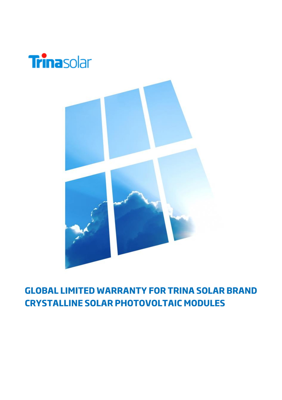

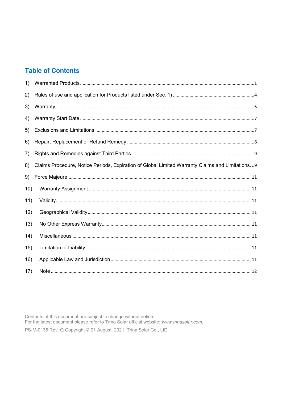# **Table of Contents**

| 1)   |                                                                                                 |
|------|-------------------------------------------------------------------------------------------------|
| 2)   |                                                                                                 |
| 3)   |                                                                                                 |
| 4)   |                                                                                                 |
| 5)   |                                                                                                 |
| 6)   |                                                                                                 |
| 7)   |                                                                                                 |
| 8)   | Claims Procedure, Notice Periods, Expiration of Global Limited Warranty Claims and Limitations9 |
| 9)   |                                                                                                 |
| 10)  |                                                                                                 |
| 11)  |                                                                                                 |
| 12)  |                                                                                                 |
| 13)  |                                                                                                 |
| (14) |                                                                                                 |
| 15)  |                                                                                                 |
| 16)  |                                                                                                 |
| 17)  |                                                                                                 |

Contents of this document are subject to change without notice.<br>For the latest document please refer to Trina Solar official website: www.trinasolar.com. PS-M-0135 Rev. Q Copyright © 01 August, 2021. Trina Solar Co., LtD.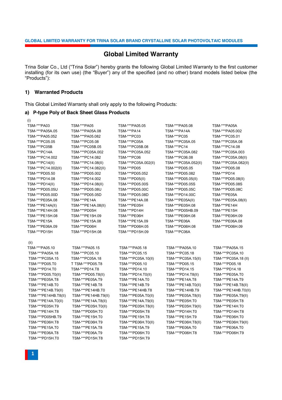# **Global Limited Warranty**

Trina Solar Co., Ltd ("Trina Solar") hereby grants the following Global Limited Warranty to the first customer installing (for its own use) (the "Buyer") any of the specified (and no other) brand models listed below (the "Products"):

### **1) Warranted Products**

This Global Limited Warranty shall only apply to the following Products:

# **a) P-type Poly of Back Sheet Glass Products**

| (i)                  |                      |                      |                      |                      |
|----------------------|----------------------|----------------------|----------------------|----------------------|
| TSM-***PA03          | TSM-***PA05          | TSM-***PA05.05       | TSM-***PA05.08       | TSM-***PA05A         |
| TSM-***PA05A.05      | TSM-***PA05A.08      | TSM-***PA14          | TSM-***PA14A         | TSM-***PA05.002      |
| TSM-***PA05.052      | TSM-***PA05.082      | <b>TSM-***PC03</b>   | <b>TSM-***PC05</b>   | TSM-***PC05.01       |
| TSM-***PC05.05       | TSM-***PC05.08       | TSM-***PC05A         | TSM-***PC05A.05      | TSM-***PC05A.08      |
| TSM-***PC05B         | TSM-***PC05B.05      | TSM-***PC05B.08      | TSM-***PC14          | TSM-***PC14.08       |
| TSM-***PC14A         | TSM-***PC05A.002     | TSM-***PC05A.052     | TSM-***PC05A.082     | TSM-***PC05A.003     |
| TSM-***PC14.002      | TSM-***PC14.082      | TSM-***PC06          | TSM-***PC06.08       | TSM-***PC05A.08(II)  |
| TSM-***PC14(II)      | TSM-***PC14.08(II)   | TSM-***PC05A.002(II) | TSM-***PC05A.052(II) | TSM-***PC05A.082(II) |
| TSM-***PC14.002(II)  | TSM-***PC14.082(II)  | TSM-***PD05          | TSM-***PD05.05       | TSM-***PD05.08       |
| TSM-***PD05.50       | TSM-***PD05.002      | TSM-***PD05.052      | TSM-***PD05.082      | TSM-***PD14          |
| TSM-***PD14.08       | TSM-***PD14.002      | TSM-***PD05(II)      | TSM-***PD05.05(II)   | TSM-***PD05.08(II)   |
| TSM-***PD14(II)      | TSM-***PD14.08(II)   | TSM-***PD05.00S      | TSM-***PD05.05S      | TSM-***PD05.08S      |
| TSM-***PD05.05U      | TSM-***PD05.08U      | TSM-***PD05.00C      | TSM-***PD05.05C      | TSM-***PD05.08C      |
| TSM-***PD05.00D      | TSM-***PD05.05D      | TSM-***PD05.08D      | TSM-***PD14.00C      | TSM-***PE05A         |
| TSM-***PE05A.08      | TSM-***PE14A         | TSM-***PE14A.08      | TSM-***PE05A(II)     | TSM-***PE05A.08(II)  |
| TSM-***PE14A(II)     | TSM-***PE14A.08(II)  | TSM-***PE05H         | TSM-***PE05H.08      | TSM-***PE14H         |
| TSM-***PE14H.08      | TSM-***PD05H         | TSM-***PD14H         | TSM-***PD05HB.09     | TSM-***PE15H         |
| TSM-***PE15H.08      | TSM-***PE15H.09      | TSM-***PE06H         | TSM-***PE06H.08      | TSM-***PE06H.09      |
| <b>TSM-***PE15A</b>  | TSM-***PE15A.08      | TSM-***PE15A.09      | TSM-***PE06A         | TSM-***PE06A.08      |
| TSM-***PE06A.09      | TSM-***PD06H         | TSM-***PD06H.05      | TSM-***PD06H.08      | TSM-***PD06H.09      |
| TSM-***PD15H         | TSM-***PD15H.08      | TSM-***PD15H.09      | TSM-***PC06A         |                      |
|                      |                      |                      |                      |                      |
| (ii)                 |                      |                      |                      |                      |
| TSM-***PA05.10       | TSM-***PA05.15       | TSM-***PA05.18       | TSM-***PA05A.10      | TSM-***PA05A.15      |
| TSM-***PA05A.18      | TSM-***PC05.10       | TSM-***PC05.15       | TSM-***PC05.18       | TSM-***PC05A.10      |
| TSM-***PC05A.15      | TSM-***PC05A.18      | TSM-***PC05A.10(II)  | TSM-***PC05A.15(II)  | TSM-***PC05A.18 (II) |
| TSM-***PD05.T0       | T TSM-***PD05.T8     | TSM-***PD05.10       | TSM-***PD05.15       | TSM-***PD05.18       |
| TSM-***PD14.T0       | TSM-***PD14.T8       | TSM-***PD14.10       | TSM-***PD14.15       | TSM-***PD14.18       |
| TSM-***PD05.T0(II)   | TSM-***PD05.T8(II)   | TSM-***PD14.T0(II)   | TSM-***PD14.T8(II)   | TSM-***PE05A.T0      |
| TSM-***PE05A.T8      | TSM-***PE05A.T9      | TSM-***PE14A.T0      | TSM-***PE14A.T8      | TSM-***PE14A.T9      |
| TSM-***PE14B.T0      | TSM-***PE14B.T8      | TSM-***PE14B.T9      | TSM-***PE14B.T0(II)  | TSM-***PE14B.T8(II)  |
| TSM-***PE14B.T9(II)  | TSM-***PE14HB.T0     | TSM-***PE14HB.T8     | TSM-***PE14HB.T9     | TSM-***PE14HB.T0(II) |
| TSM-***PE14HB.T8(II) | TSM-***PE14HB.T9(II) | TSM-***PE05A.T0(II)  | TSM-***PE05A.T8(II)  | TSM-***PE05A.T9(II)  |
| TSM-***PE14A.T0(II)  | TSM-***PE14A.T8(II)  | TSM-***PE14A.T9(II)  | TSM-***PE05H.T0      | TSM-***PE05H.T8      |
| TSM-***PE05H.T9      | TSM-***PE05H.T0(II)  | TSM-***PE05H.T8(II)  | TSM-***PE05H.T9(II)  | TSM-***PE14H.T0      |
| TSM-***PE14H.T8      | TSM-***PD05H.T0      | TSM-***PD05H.T8      | TSM-***PD14H.T0      | TSM-***PD14H.T8      |
| TSM-***PD05HB.T9     | TSM-***PE15H.T0      | TSM-***PE15H.T8      | TSM-***PE15H.T9      | TSM-***PE06H.T0      |
| TSM-***PE06H.T8      | TSM-***PE06H.T9      | TSM-***PE06H.T0(II)  | TSM-***PE06H.T8(II)  | TSM-***PE06H.T9(II)  |
| TSM-***PE15A.T0      | TSM-***PE15A.T8      | TSM-***PE15A.T9      | TSM-***PE06A.T0      | TSM-***PE06A.T0      |
| TSM-***PE06A.T8      | TSM-***PE06A.T9      | TSM-***PD06H.T0      | TSM-***PD06H.T8      | TSM-***PD06H.T9      |
| TSM-***PD15H.T0      | TSM-***PD15H.T8      | TSM-***PD15H.T9      |                      |                      |
|                      |                      |                      |                      |                      |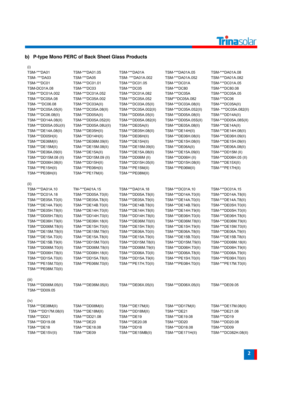# Trinasolar

# **b) P-type Mono PERC of Back Sheet Glass Products**

| (1)                      |                      |                      |                      |                       |
|--------------------------|----------------------|----------------------|----------------------|-----------------------|
| TSM-***DA01              | TSM-***DA01.05       | TSM-***DA01A         | TSM-***DA01A.05      | TSM-***DA01A.08       |
| TSM- ***DA03             | TSM-***DA05          | TSM- ***DA01A.002    | TSM-***DA01A.052     | TSM-***DA01A.082      |
| TSM-***DC01              | TSM-***DC01.01       | TSM-***DC01.05       | TSM-***DC01A         | TSM-***DC01A.05       |
| TSM-DC01A.08             | TSM-***DC03          | TSM-***DC05          | TSM-***DC80          | TSM-***DC80.08        |
| TSM-***DC01A.002         | TSM-***DC01A.052     | TSM-***DC01A.082     | TSM-***DC05A         | TSM-***DC05A.05       |
| TSM-***DC05A.08          | TSM-***DC05A.002     | TSM-***DC05A.052     | TSM***DC05A.082      | TSM-***DC06           |
| TSM- ***DC06.08          | TSM-***DC03A(II)     | TSM-***DC03A.05(II)  | TSM-***DC03A.08(II)  | TSM-***DC05A(II)      |
| TSM-***DC05A.05(II)      | TSM-***DC05A.08(II)  | TSM-***DC05A.002(II) | TSM-***DC05A.052(II) | TSM- ***DC05A.082(II) |
| TSM-***DC06.08(II)       | TSM-***DD05A(II)     | TSM-***DD05A.05(II)  | TSM-***DD05A.08(II)  | TSM-***DD14A(II)      |
| TSM-***DD14A.08(II)      | TSM-***DD05A.052(II) | TSM-***DD05A.082(II) | TSM-***DD05A.05S(II) | TSM-***DD05A.08S(II)  |
| TSM-***DD05A.05U(II)     | TSM-***DD05A.08U(II) | TSM-***DE05A(II)     | TSM-***DE05A.08(II)  | TSM-***DE14A(II)      |
| TSM-***DE14A.08(II)      | TSM-***DE05H(II)     | TSM-***DE05H.08(II)  | TSM-***DE14H(II)     | TSM-***DE14H.08(II)   |
| TSM-***DD05H(II)         | TSM-***DD14H(II)     | TSM-***DE06H(II)     | TSM-***DE06H.08(II)  | TSM-***DE06H.09(II)   |
| TSM-***DE06M(II)         | TSM-***DE06M.09(II)  | TSM-***DE15H(II)     | TSM-***DE15H.08(II)  | TSM-***DE15H.09(II)   |
| TSM-***DE15M(II)         | TSM-***DE15M.08(II)  | TSM-***DE15M.09(II)  | TSM-***DE06A(II)     | TSM-***DE06A.08(II)   |
| TSM-***DE06A.09(II)      | TSM-***DE15A(II)     | TSM-***DE15A.08(II)  | TSM-***DE15A.09(II)  | TSM-***DD15M (II)     |
| TSM-***DD15M.08 (II)     | TSM-***DD15M.09 (II) | TSM-***DD06M (II)    | TSM-***DD06H(II)     | TSM-***DD06H.05 (II)  |
| TSM-***DD06H.08(II)      | TSM-***DD15H(II)     | TSM-***DD15H.05(II)  | TSM-***DD15H.08(II)  | TSM-***DE15X(II)      |
| TSM-***PE15H(II)         | TSM-***PE06H(II)     | TSM-***PE15M(II)     | TSM-***PE06M(II)     |                       |
| TSM-***PE08H(II)         | TSM-***PE17M(II)     | TSM-***PE08M(II)     |                      | TSM-***PE17H(II)      |
|                          |                      |                      |                      |                       |
| (II)                     |                      |                      |                      |                       |
| TSM-***DA01A.10          | TM-***DA01A.15       | TSM-***DA01A.18      | TSM-***DC01A.10      | TSM-***DC01A.15       |
| TSM-***DC01A.18          | TSM-***DD05A.T0(II)  | TSM-***DD05A.T8(II)  | TSM-***DD14A.T0(II)  | TSM-***DD14A.T8(II)   |
| TSM-***DE05A.T0(II)      | TSM-***DE05A.T8(II)  | TSM-***DE05A.T9(II)  | TSM-***DE14A.T0(II)  | TSM-***DE14A.T8(II)   |
| TSM-***DE14A.T9(II)      | TSM-***DE14B.T0(II)  | TSM-***DE14B.T8(II)  | TSM-***DE14B.T9(II)  | TSM-***DE05H.T0(II)   |
| TSM-***DE05H.T8(II)      | TSM-***DE14H.T0(II)  | TSM-***DE14H.T8(II)  | TSM-***DE14H.T9(II)  | TSM-***DD05H.T0(II)   |
| TSM-***DD05H.T8(II)      | TSM-***DD14H.T0(II)  | TSM-***DD14H.T8(II)  | TSM-***DE06H.T0(II)  | TSM-***DE06H.T8(II)   |
| TSM-***DE06H.T9(II)      | TSM-***DE06H.18(II)  | TSM-***DE06M.T0(II)  | TSM-***DE06M.T8(II)  | TSM-***DE06M.T9(II)   |
| TSM-***DD06M.T8(II)      | TSM-***DE15H.T0(II)  | TSM-***DE15H.T8(II)  | TSM-***DE15H.T9(II)  | TSM-***DE15M.T0(II)   |
| TSM-***DE15M.T8(II)      | TSM-***DE15M.T9(II)  | TSM-***DE06A.T0(II)  | TSM-***DE06A.T8(II)  | TSM-***DE06A.T9(II)   |
| TSM-***DE15A.T0(II)      | TSM-***DE15A.T8(II)  | TSM-***DE15A.T9(II)  | TSM-***DE15B.T0(II)  | TSM-***DE15B.T8(II)   |
| TSM-***DE15B.T9(II)      | TSM-***DD15M.T0(II)  | TSM-***DD15M.T8(II)  | TSM-***DD15M.T9(II)  | TSM-***DD06M.18(II)   |
| TSM-***DD06M.T0(II)      | TSM-***DD06M.T8(II)  | TSM-***DD06M.T9(II)  | TSM-***DD06H.T0(II)  | TSM-***DD06H.T9(II)   |
| TSM-***DD06H.T8(II)      | TSM-***DD06H.18(II)  | TSM-***DD06A.T0(II)  | TSM-***DD06A.T8(II)  | TSM-***DD06A.T9(II)   |
| TSM-***DD15A.T0(II)      | TSM-***DD15A.T8(II)  | TSM-***DD15A.T9(II)  | TSM-***PE15H.T0(II)  | TSM-***PE06H.T0(II)   |
| TSM-***PE15M.T0(II)      | TSM-***PE06M.T0(II)  | TSM-***PE17H.T0(II)  | TSM-***PE08H.T0(II)  | TSM-***PE17M.T0(II)   |
| TSM-***PE08M.T0(II)      |                      |                      |                      |                       |
|                          |                      |                      |                      |                       |
| (iii)                    |                      |                      |                      |                       |
| TSM-***DD06M.05(II)      | TSM-***DE06M.05(II)  | TSM-***DE06X.05(II)  | TSM-***DD06X.05(II)  | TSM-***DE09.05        |
| TSM-***DD09.05           |                      |                      |                      |                       |
|                          |                      |                      |                      |                       |
| (iv)<br>TSM-***DE08M(II) | TSM-***DD08M(II)     | TSM-***DE17M(II)     | TSM-***DD17M(II)     | TSM-***DE17M.08(II)   |
| TSM-***DD17M.08(II)      | TSM-***DE18M(II)     | TSM-***DD18M(II)     | TSM-***DE21          | TSM-***DE21.08        |
| TSM-***DD21              | TSM-***DD21.08       | TSM-***DE19          | TSM-***DE19.08       | TSM-***DD19           |
| TSM-***DD19.08           | TSM-***DE20          | TSM-***DE20.08       | TSM-***DD20          | TSM-***DD20.08        |
| TSM-***DE18              | TSM-***DE18.08       | TSM-***DD18          | TSM-***DD18.08       | TSM-***DD09           |
| TSM-***DE15V(II)         | TSM-***DE09          | TSM-***DE15MB(II)    | TSM-***DE171H(II)    | TSM-***DC082H.08(II)  |
|                          |                      |                      |                      |                       |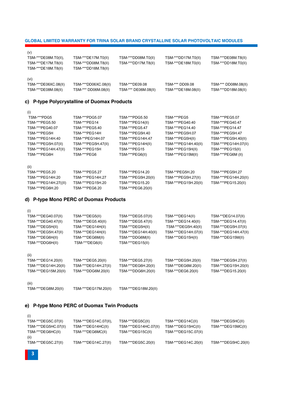| (i)                  |                       |                       |                      |                      |
|----------------------|-----------------------|-----------------------|----------------------|----------------------|
| TSM-***DEG5C.07(II)  | TSM-***DEG14C.07(II), | TSM-***DEG5C(II)      | TSM-***DEG14C(II)    | TSM-***DEG5HC(II)    |
| TSM-***DEG5HC.07(II) | TSM-***DEG14HC(II)    | TSM-***DEG14HC.07(II) | TSM-***DEG15HC(II)   | TSM-***DEG15MC(II)   |
| TSM-***DEG6HC(II)    | TSM-***DEG6MC(II)     | TSM-***DEG15C(II)     | TSM-***DEG15C.07(II) |                      |
| (ii)                 |                       |                       |                      |                      |
| TSM-***DEG5C.27(II)  | TSM-***DEG14C.27(II)  | TSM-***DEG5C.20(II)   | TSM-***DEG14C.20(II) | TSM-***DEG5HC.20(II) |
|                      |                       |                       |                      |                      |

# **e) P-type Mono PERC of Duomax Twin Products**

| TSM-***DEG40.07(II)  | TSM-***DEG5(II)      | TSM-***DEG5.07(II)   | TSM-***DEG14(II)     | TSM-**DEG14.07(II)   |
|----------------------|----------------------|----------------------|----------------------|----------------------|
| TSM-***DEG40.47(II)  | TSM-***DEG5.40(II)   | TSM-***DEG5.47(II)   | TSM-***DEG14.40(II)  | TSM-***DEG14.47(II)  |
| TSM-***DEG5H(II)     | TSM-***DEG14H(II)    | TSM-***DEG5H(II)     | TSM-***DEG5H.40(II)  | TSM-***DEG5H.07(II)  |
| TSM-***DEG5H.47(II)  | TSM-***DEG14H(II)    | TSM-***DEG14H.40(II) | TSM-***DEG14H.07(II) | TSM-***DEG14H.47(II) |
| TSM-***DEG6H(II)     | TSM-***DEG6M(II)     | TSM-***DDG6M(II)     | TSM-***DEG15H(II)    | TSM-***DEG15M(II)    |
| TSM-***DDG6H(II)     | TSM-***DEG6(II)      | TSM-***DEG15(II)     |                      |                      |
| (ii)                 |                      |                      |                      |                      |
| TSM-***DEG14.20(II)  | TSM-***DEG5.20(II)   | TSM-***DEG5.27(II)   | TSM-***DEG5H.20(II)  | TSM-***DEG5H.27(II)  |
| TSM-***DEG14H.20(II) | TSM-***DEG14H.27(II) | TSM-***DEG6H.20(II)  | TSM-***DEG6M.20(II)  | TSM-***DEG15H.20(II) |
| TSM-***DEG15M.20(II) | TSM-***DDG6M.20(II)  | TSM-***DDG6H.20(II)  | TSM-***DEG6.20(II)   | TSM-***DEG15.20(II)  |
| (iii)                |                      |                      |                      |                      |
| TSM-***DEG8M.20(II)  | TSM-***DEG17M.20(II) | TSM-***DEG18M.20(II) |                      |                      |

# **d) P-type Mono PERC of Duomax Products**

| TSM-***PDG5           | TSM-***PDG5.07      | TSM-***PDG5.50      | TSM-***PEG5          | TSM-***PEG5.07       |
|-----------------------|---------------------|---------------------|----------------------|----------------------|
| TSM-***PEG5.50        | TSM-***PEG14        | TSM-***PEG14(II)    | TSM-***PEG40.40      | TSM-***PEG40.47      |
| TSM-***PEG40.07       | TSM-***PEG5.40      | TSM-***PEG5.47      | TSM-***PEG14.40      | TSM-***PEG14.47      |
| TSM-***PEG5H          | TSM-***PEG14H       | TSM-***PEG5H.40     | TSM-***PEG5H.07      | TSM-***PEG5H.47      |
| TSM-***PEG14H.40      | TSM-**PEG14H.07     | TSM-***PEG14H.47    | TSM-***PEG5H(II)     | TSM-***PEG5H.40(II)  |
| TSM-***PEG5H.07(II)   | TSM-***PEG5H.47(II) | TSM-***PEG14H(II)   | TSM-***PEG14H.40(II) | TSM-***PEG14H.07(II) |
| TSM-***PEG14H.47(II)  | TSM-***PEG15H       | TSM-***PEG15        | TSM-***PEG15H(II)    | TSM-***PEG15(II)     |
| TSM-***PEG6H          | TSM-***PEG6         | TSM-***PEG6(II)     | TSM-***PEG15M(II)    | TSM-***PEG6M (II)    |
| (ii)                  |                     |                     |                      |                      |
| TSM-***PEG5.20        | TSM-***PEG5.27      | TSM-***PEG14.20     | TSM-**PEG5H.20       | TSM-***PEG5H.27      |
| TSM-***PEG14H.20      | TSM-***PEG14H.27    | TSM-***PEG5H.20(II) | TSM-***PEG5H.27(II)  | TSM-***PEG14H.20(II) |
| TSM-***PEG14H.27((II) | TSM-***PEG15H.20    | TSM-***PEG15.20     | TSM-***PEG15H.20(II) | TSM-***PEG15.20(II)  |
| TSM-***PEG6H.20       | TSM-***PEG6.20      | TSM-***PEG6.20(II)  |                      |                      |

# **c) P-type Polycrystalline of Duomax Products**

(i)

(i)

| TSM-***DE17M.T0(II)  | TSM-***DD08M.T0(II)  | TSM-***DD17M.T0(II) | TSM-***DE08M.T8(II)  |
|----------------------|----------------------|---------------------|----------------------|
| TSM-***DD08M.T8(II)  | TSM-***DD17M.T8(II)  | TSM-***DE18M.T0(II) | TSM-***DD18M.T0(II)  |
| TSM-***DD18M.T8(II)  |                      |                     |                      |
|                      |                      |                     |                      |
|                      |                      |                     |                      |
| TSM-***DD06XC.08(II) | TSM-***DE09.08       | TSM-*** DD09.08     | TSM-*** DD08M.08(II) |
| TSM-*** DD06M.08(II) | TSM-*** DE06M.08(II) | TSM-***DE18M.08(II) | TSM-***DD18M.08(II)  |
|                      |                      |                     |                      |

**GLOBAL LIMITED WARRANTY FOR TRINA SOLAR BRAND CRYSTALLINE SOLAR PHOTOVOLTAIC MODULES**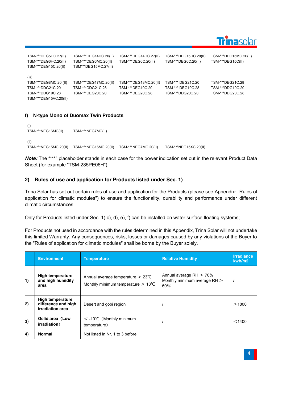

| TSM-***DEG5HC.27(II)<br>TSM-***DEG6HC.20(II)<br>TSM-***DEG15C.20(II)                            | TSM-***DEG14HC.20(II)<br>TSM-***DEG6MC.20(II)<br>TSM***DEG15MC.27(II) | TSM-***DEG14HC.27(II)<br>TSM-***DEG6C.20(II)                  | TSM-***DEG15HC.20(II)<br>TSM-***DEG6C.20(II)               | TSM-***DEG15MC.20(II)<br>TSM-***DEG15C(II)               |
|-------------------------------------------------------------------------------------------------|-----------------------------------------------------------------------|---------------------------------------------------------------|------------------------------------------------------------|----------------------------------------------------------|
| (iii)<br>TSM-***DEG8MC.20 (II)<br>TSM-***DDG21C.20<br>TSM-***DDG19C.28<br>TSM-***DEG15VC.20(II) | TSM-***DEG17MC.20(II)<br>TSM-***DDG21C.28<br>TSM-***DEG20C.20         | TSM-***DEG18MC.20(II)<br>TSM-***DEG19C.20<br>TSM-***DEG20C.28 | TSM-*** DEG21C.20<br>TSM-*** DEG19C.28<br>TSM-***DDG20C.20 | TSM-***DEG21C.28<br>TSM-***DDG19C.20<br>TSM-***DDG20C.28 |

# **f) N-type Mono of Duomax Twin Products**

```
(i)
TSM-***NEG16MC(II) TSM-***NEG7MC(II)
(ii)
TSM-***NEG15MC.20(II) TSM-***NEG16MC.20(II) TSM-***NEG7MC.20(II) TSM-***NEG15XC.20(II)
```
*Note:* The "\*\*\*" placeholder stands in each case for the power indication set out in the relevant Product Data Sheet (for example "TSM-285PE06H").

# **2) Rules of use and application for Products listed under Sec. 1)**

Trina Solar has set out certain rules of use and application for the Products (please see Appendix: "Rules of application for climatic modules") to ensure the functionality, durability and performance under different climatic circumstances.

Only for Products listed under Sec. 1) c), d), e), f) can be installed on water surface floating systems;

For Products not used in accordance with the rules determined in this Appendix, Trina Solar will not undertake this limited Warranty. Any consequences, risks, losses or damages caused by any violations of the Buyer to the "Rules of application for climatic modules" shall be borne by the Buyer solely.

|    | <b>Environment</b>                                                 | <b>Temperature</b>                                                                          | <b>Relative Humidity</b>                                          | <b>Irradiance</b><br>kwh/m2 |
|----|--------------------------------------------------------------------|---------------------------------------------------------------------------------------------|-------------------------------------------------------------------|-----------------------------|
| 1) | <b>High temperature</b><br>and high humidity<br>area               | Annual average temperature $> 23^{\circ}$ C<br>Monthly minimum temperature $> 18^{\circ}$ C | Annual average $RH > 70\%$<br>Monthly minimum average RH ><br>60% |                             |
| 2) | <b>High temperature</b><br>difference and high<br>irradiation area | Desert and gobi region                                                                      |                                                                   | >1800                       |
| 3) | Gelid area (Low<br>irradiation)                                    | $<$ -10°C (Monthly minimum<br>temperature)                                                  |                                                                   | < 1400                      |
| 4) | <b>Normal</b>                                                      | Not listed in Nr. 1 to 3 before                                                             |                                                                   |                             |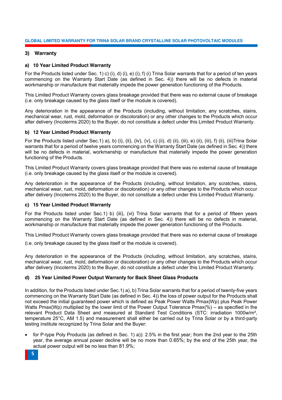### **3) Warranty**

### **a) 10 Year Limited Product Warranty**

For the Products listed under Sec. 1) c) (i), d) (i), e) (i), f) (i) Trina Solar warrants that for a period of ten years commencing on the Warranty Start Date (as defined in Sec. 4)) there will be no defects in material workmanship or manufacture that materially impede the power generation functioning of the Products.

This Limited Product Warranty covers glass breakage provided that there was no external cause of breakage (i.e. only breakage caused by the glass itself or the module is covered).

Any deterioration in the appearance of the Products (including, without limitation, any scratches, stains, mechanical wear, rust, mold, deformation or discoloration) or any other changes to the Products which occur after delivery (Incoterms 2020) to the Buyer, do not constitute a defect under this Limited Product Warranty.

### **b) 12 Year Limited Product Warranty**

For the Products listed under Sec.1) a), b) (i), (ii), (iv), (v), c) (ii), d) (ii), (iii), e) (ii), (iii), f) (ii), (iii)Trina Solar warrants that for a period of twelve years commencing on the Warranty Start Date (as defined in Sec. 4)) there will be no defects in material, workmanship or manufacture that materially impede the power generation functioning of the Products.

This Limited Product Warranty covers glass breakage provided that there was no external cause of breakage (i.e. only breakage caused by the glass itself or the module is covered).

Any deterioration in the appearance of the Products (including, without limitation, any scratches, stains, mechanical wear, rust, mold, deformation or discoloration) or any other changes to the Products which occur after delivery (Incoterms 2020) to the Buyer, do not constitute a defect under this Limited Product Warranty.

### **c) 15 Year Limited Product Warranty**

For the Products listed under Sec.1) b) (iii), (vi) Trina Solar warrants that for a period of fifteen years commencing on the Warranty Start Date (as defined in Sec. 4)) there will be no defects in material, workmanship or manufacture that materially impede the power generation functioning of the Products.

This Limited Product Warranty covers glass breakage provided that there was no external cause of breakage

(i.e. only breakage caused by the glass itself or the module is covered).

Any deterioration in the appearance of the Products (including, without limitation, any scratches, stains, mechanical wear, rust, mold, deformation or discoloration) or any other changes to the Products which occur after delivery (Incoterms 2020) to the Buyer, do not constitute a defect under this Limited Product Warranty.

### **d) 25 Year Limited Power Output Warranty for Back Sheet Glass Products**

In addition, for the Products listed under Sec.1) a), b) Trina Solar warrants that for a period of twenty-five years commencing on the Warranty Start Date (as defined in Sec. 4)) the loss of power output for the Products shall not exceed the initial guaranteed power which is defined as Peak Power Watts Pmax(Wp) plus Peak Power Watts Pmax(Wp) multiplied by the lower limit of the Power Output Tolerance Pmax(%) – as specified in the relevant Product Data Sheet and measured at Standard Test Conditions (STC: irradiation 1000w/m², temperature 25°C, AM 1.5) and measurement shall either be carried out by Trina Solar or by a third-party testing institute recognized by Trina Solar and the Buyer:

for P-type Poly Products (as defined in Sec. 1) a)): 2.5% in the first year; from the 2nd year to the 25th year, the average annual power decline will be no more than 0.65%; by the end of the 25th year, the actual power output will be no less than 81.9%;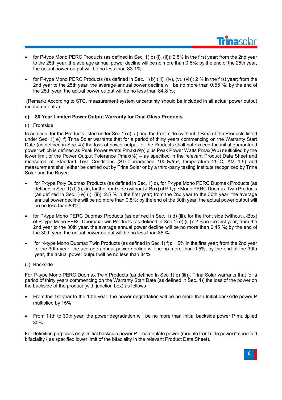

- for P-type Mono PERC Products (as defined in Sec. 1) b) (i), (ii)): 2.5% in the first year; from the 2nd year to the 25th year, the average annual power decline will be no more than 0.6%; by the end of the 25th year, the actual power output will be no less than 83.1%.
- for P-type Mono PERC Products (as defined in Sec. 1) b) (iii), (iv), (v), (vi)): 2 % in the first year; from the 2nd year to the 25th year, the average annual power decline will be no more than 0.55 %; by the end of the 25th year, the actual power output will be no less than 84.8 %;

(Remark: According to STC, measurement system uncertainty should be included in all actual power output measurements.)

# **e) 30 Year Limited Power Output Warranty for Dual Glass Products**

### (i) Frontside:

In addition, for the Products listed under Sec.1) c), d) and the front side (without J-Box) of the Products listed under Sec. 1) e), f) Trina Solar warrants that for a period of thirty years commencing on the Warranty Start Date (as defined in Sec. 4)) the loss of power output for the Products shall not exceed the initial guaranteed power which is defined as Peak Power Watts Pmax(Wp) plus Peak Power Watts Pmax(Wp) multiplied by the lower limit of the Power Output Tolerance Pmax(%) – as specified in the relevant Product Data Sheet and measured at Standard Test Conditions (STC: irradiation 1000w/m², temperature 25°C, AM 1.5) and measurement shall either be carried out by Trina Solar or by a third-party testing institute recognized by Trina Solar and the Buyer:

- for P-type Poly Duomax Products (as defined in Sec. 1) c), for P-type Mono PERC Duomax Products (as defined in Sec. 1) d) (i), (ii), for the front side (without J-Box) of P-type Mono PERC Duomax Twin Products (as defined in Sec.1) e) (i), (ii)): 2.5 % in the first year; from the 2nd year to the 30th year, the average annual power decline will be no more than 0.5%; by the end of the 30th year, the actual power output will be no less than 83%;
- for P-type Mono PERC Duomax Products (as defined in Sec. 1) d) (iii), for the front side (without J-Box) of P-type Mono PERC Duomax Twin Products (as defined in Sec.1) e) (iii)): 2 % in the first year; from the 2nd year to the 30th year, the average annual power decline will be no more than 0.45 %; by the end of the 30th year, the actual power output will be no less than 85 %;
- for N-type Mono Duomax Twin Products (as defined in Sec.1) f)): 1.5% in the first year; from the 2nd year to the 30th year, the average annual power decline will be no more than 0.5%; by the end of the 30th year, the actual power output will be no less than 84%.
- (ii) Backside

For P-type Mono PERC Duomax Twin Products (as defined in Sec.1) e) (iii)), Trina Solar warrants that for a period of thirty years commencing on the Warranty Start Date (as defined in Sec. 4)) the loss of the power on the backside of the product (with junction box) as follows

- From the 1st year to the 10th year, the power degradation will be no more than Initial backside power P multiplied by 15%
- From 11th to 30th year, the power degradation will be no more than Initial backside power P multiplied 30%.

For definition purposes only: Initial backside power  $P =$  nameplate power (module front side power)\* specified bifaciality ( as specified lower limit of the bifaciality in the relevant Product Data Sheet).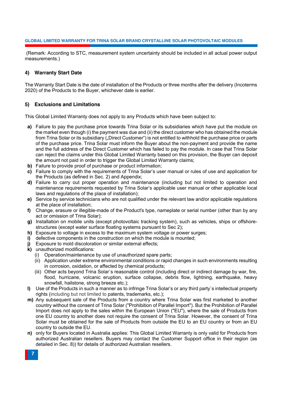(Remark: According to STC, measurement system uncertainty should be included in all actual power output measurements.)

### **4) Warranty Start Date**

The Warranty Start Date is the date of installation of the Products or three months after the delivery (Incoterms 2020) of the Products to the Buyer, whichever date is earlier.

### **5) Exclusions and Limitations**

This Global Limited Warranty does not apply to any Products which have been subject to:

- **a)** Failure to pay the purchase price towards Trina Solar or its subsidiaries which have put the module on the market even though (i) the payment was due and (ii) the direct customer who has obtained the module from Trina Solar or its subsidiary ("Direct Customer") is not entitled to withhold the purchase price or parts of the purchase price. Trina Solar must inform the Buyer about the non-payment and provide the name and the full address of the Direct Customer which has failed to pay the module. In case that Trina Solar can reject the claims under this Global Limited Warranty based on this provision, the Buyer can deposit the amount not paid in order to trigger the Global Limited Warranty claims:
- **b)** Failure to provide proof of purchase or product information;
- **c)** Failure to comply with the requirements of Trina Solar's user manual or rules of use and application for the Products (as defined in Sec. 2) and Appendix;
- **d)** Failure to carry out proper operation and maintenance (including but not limited to operation and maintenance requirements requested by Trina Solar's applicable user manual or other applicable local laws and regulations of the place of installation);
- **e)** Service by service technicians who are not qualified under the relevant law and/or applicable regulations at the place of installation;
- **f)** Change, erasure or illegible-made of the Product's type, nameplate or serial number (other than by any act or omission of Trina Solar);
- **g)** Installation on mobile units (except photovoltaic tracking system), such as vehicles, ships or offshorestructures (except water surface floating systems pursuant to Sec 2);
- **h)** Exposure to voltage in excess to the maximum system voltage or power surges;
- **i)** defective components in the construction on which the module is mounted;
- **j)** Exposure to mold discoloration or similar external effects:
- **k)** unauthorized modifications:
	- (i) Operation/maintenance by use of unauthorized spare parts;
	- (ii) Application under extreme environmental conditions or rapid changes in such environments resulting in corrosion, oxidation, or affected by chemical products;
	- (iii) Other acts beyond Trina Solar`s reasonable control (including direct or indirect damage by war, fire, flood, hurricane, volcanic eruption, surface collapse, debris flow, lightning, earthquake, heavy snowfall, hailstone, strong breeze etc.);
- **l)** Use of the Products in such a manner as to infringe Trina Solar's or any third party`s intellectual property rights (including but not limited to patents, trademarks, etc.);
- **m)** Any subsequent sale of the Products from a country where Trina Solar was first marketed to another country without the consent of Trina Solar ("Prohibition of Parallel Import"). But the Prohibition of Parallel Import does not apply to the sales within the European Union ("EU"), where the sale of Products from one EU country to another does not require the consent of Trina Solar. However, the consent of Trina Solar must be obtained for the sale of Products from outside the EU to an EU country or from an EU country to outside the EU.
- **n)** only for Buyers located in Australia applies: This Global Limited Warranty is only valid for Products from authorized Australian resellers. Buyers may contact the Customer Support office in their region (as detailed in Sec. 8)) for details of authorized Australian resellers.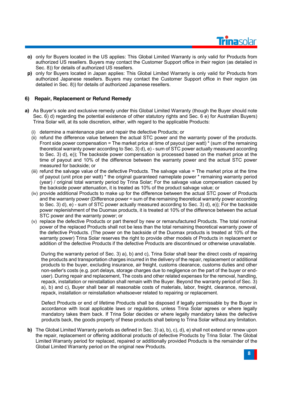

- **o)** only for Buyers located in the US applies: This Global Limited Warranty is only valid for Products from authorized US resellers. Buyers may contact the Customer Support office in their region (as detailed in Sec. 8)) for details of authorized US resellers.
- **p)** only for Buyers located in Japan applies: This Global Limited Warranty is only valid for Products from authorized Japanese resellers. Buyers may contact the Customer Support office in their region (as detailed in Sec. 8)) for details of authorized Japanese resellers.

# **6) Repair, Replacement or Refund Remedy**

- **a)** As Buyer's sole and exclusive remedy under this Global Limited Warranty (though the Buyer should note Sec. 6) d) regarding the potential existence of other statutory rights and Sec. 6 e) for Australian Buyers) Trina Solar will, at its sole discretion, either, with regard to the applicable Products:
	- (i) determine a maintenance plan and repair the defective Products; or
	- (ii) refund the difference value between the actual STC power and the warranty power of the products. Front side power compensation = The market price at time of payout (per watt)  $*$  (sum of the remaining theoretical warranty power according to Sec. 3) d), e) - sum of STC power actually measured according to Sec. 3) d), e)); The backside power compensation is processed based on the market price at the time of payout and 10% of the difference between the warranty power and the actual STC power measured for backside; or
	- (iii) refund the salvage value of the defective Products. The salvage value = The market price at the time of payout (unit price per watt) \* the original guaranteed nameplate power \* remaining warranty period (year) / original total warranty period by Trina Solar; For the salvage value compensation caused by the backside power attenuation, it is treated as 10% of the product salvage value; or
	- (iv) provide additional Products to make up for the difference between the actual STC power of Products and the warranty power (Difference power = sum of the remaining theoretical warranty power according to Sec. 3) d), e) - sum of STC power actually measured according to Sec. 3) d), e)); For the backside power replenishment of the Duomax products, it is treated at 10% of the difference between the actual STC power and the warranty power; or
	- (v) replace the defective Products or part thereof by new or remanufactured Products. The total nominal power of the replaced Products shall not be less than the total remaining theoretical warranty power of the defective Products. (The power on the backside of the Duomax products is treated at 10% of the warranty power) Trina Solar reserves the right to provide other models of Products in replacement or addition of the defective Products if the defective Products are discontinued or otherwise unavailable.

During the warranty period of Sec. 3) a), b) and c), Trina Solar shall bear the direct costs of repairing the products and transportation charges incurred in the delivery of the repair, replacement or additional products to the buyer, excluding insurance, air freight, customs clearance, customs duties and other non-seller's costs (e.g. port delays, storage charges due to negligence on the part of the buyer or enduser). During repair and replacement, The costs and other related expenses for the removal, handling, repack, installation or reinstallation shall remain with the Buyer. Beyond the warranty period of Sec. 3) a), b) and c), Buyer shall bear all reasonable costs of materials, labor, freight, clearance, removal, repack, installation or reinstallation whatsoever related to repairing or replacement.

Defect Products or end of lifetime Products shall be disposed if legally permissable by the Buyer in accordance with local applicable laws or regulations, unless Trina Solar agrees or where legally mandatory takes them back. If Trina Solar decides or where legally mandatory takes the defective products back, the goods property of these products shall belong to Trina Solar without any limitation.

**b)** The Global Limited Warranty periods as defined in Sec. 3) a), b), c), d), e) shall not extend or renew upon the repair, replacement or offering additional products of defective Products by Trina Solar. The Global Limited Warranty period for replaced, repaired or additionally provided Products is the remainder of the Global Limited Warranty period on the original new Products.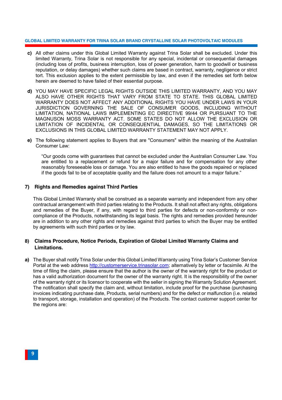- **c)** All other claims under this Global Limited Warranty against Trina Solar shall be excluded. Under this limited Warranty, Trina Solar is not responsible for any special, incidental or consequential damages (including loss of profits, business interruption, loss of power generation, harm to goodwill or business reputation, or delay damages) whether such claims are based in contract, warranty, negligence or strict tort. This exclusion applies to the extent permissible by law, and even if the remedies set forth below herein are deemed to have failed of their essential purpose.
- **d)** YOU MAY HAVE SPECIFIC LEGAL RIGHTS OUTSIDE THIS LIMITED WARRANTY, AND YOU MAY ALSO HAVE OTHER RIGHTS THAT VARY FROM STATE TO STATE. THIS GLOBAL LIMITED WARRANTY DOES NOT AFFECT ANY ADDITIONAL RIGHTS YOU HAVE UNDER LAWS IN YOUR JURISDICTION GOVERNING THE SALE OF CONSUMER GOODS, INCLUDING WITHOUT LIMITATION, NATIONAL LAWS IMPLEMENTING EC DIRECTIVE 99/44 OR PURSUANT TO THE MAGNUSON MOSS WARRANTY ACT. SOME STATES DO NOT ALLOW THE EXCLUSION OR LIMITATION OF INCIDENTAL OR CONSEQUENTIAL DAMAGES, SO THE LIMITATIONS OR EXCLUSIONS IN THIS GLOBAL LIMITED WARRANTY STATEMENT MAY NOT APPLY.
- **e)** The following statement applies to Buyers that are "Consumers" within the meaning of the Australian Consumer Law:

"Our goods come with guarantees that cannot be excluded under the Australian Consumer Law. You are entitled to a replacement or refund for a major failure and for compensation for any other reasonably foreseeable loss or damage. You are also entitled to have the goods repaired or replaced if the goods fail to be of acceptable quality and the failure does not amount to a major failure."

### **7) Rights and Remedies against Third Parties**

This Global Limited Warranty shall be construed as a separate warranty and independent from any other contractual arrangement with third parties relating to the Products. It shall not affect any rights, obligations and remedies of the Buyer, if any, with regard to third parties for defects or non-conformity or noncompliance of the Products, notwithstanding its legal basis. The rights and remedies provided hereunder are in addition to any other rights and remedies against third parties to which the Buyer may be entitled by agreements with such third parties or by law.

# **8) Claims Procedure, Notice Periods, Expiration of Global Limited Warranty Claims and Limitations.**

**a)** The Buyer shall notify Trina Solar under this Global Limited Warranty using Trina Solar's Customer Service Portal at the web address http://customerservice.trinasolar.com; alternatively by letter or facsimile. At the time of filing the claim, please ensure that the author is the owner of the warranty right for the product or has a valid authorization document for the owner of the warranty right. It is the responsibility of the owner of the warranty right or its licensor to cooperate with the seller in signing the Warranty Solution Agreement. The notification shall specify the claim and, without limitation, include proof for the purchase (purchasing invoices indicating purchase date, Products, serial numbers) and for the defect or malfunction (i.e. related to transport, storage, installation and operation) of the Products. The contact customer support center for the regions are: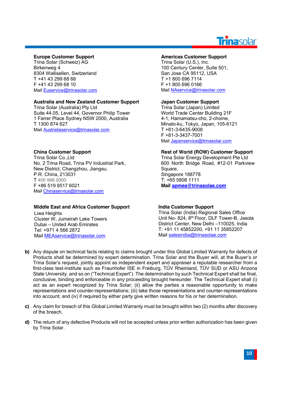# Trinasolar

### **Europe Customer Support**

Trina Solar (Schweiz) AG Birkenweg 4 8304 Wallisellen, Switzerland T +41 43 299 68 68 F +41 43 299 68 10 Mail Euservice@trinasolar.com

# **Australia and New Zealand Customer Support**

Trina Solar (Australia) Pty Ltd Suite 44.05, Level 44, Governor Philip Tower 1 Farrer Place Sydney NSW 2000, Australia T 1300 874 627 Mail Australiaservice@trinasolar.com

# **China Customer Support**

Trina Solar Co.,Ltd No. 2 Trina Road, Trina PV Industrial Park, New District, Changzhou, Jiangsu, P.R. China, 213031 T 400 988 0000 F +86 519 8517 6021 Mail Chinaservice@trinasolar.com

### **Middle East and Africa Customer Support**

Liwa Heights Cluster W, Jumeirah Lake Towers Dubai – United Arab Emirates Tel: +971 4 568 2872 Mail MEAservice@trinasolar.com

### **Americas Customer Support**

Trina Solar (U.S.), Inc. 100 Century Center, Suite 501, San Jose CA 95112, USA T +1 800 696 7114 F +1 800 696 0166 Mail NAservice@trinasolar.com

# **Japan Customer Support**

Trina Solar (Japan) Limited World Trade Center Building 21F 4-1, Hamamatsu-cho, 2-chome, Minato-ku, Tokyo, Japan, 105-6121 T +81-3-6435-9008 F +81-3-3437-7001 Mail Japanservice@trinasolar.com

### **Rest of World (ROW) Customer Support**

Trina Solar Energy Development Pte Ltd 600 North Bridge Road, #12-01 Parkview Square, Singapore 188778 T: +65 5808 1111 **Mail apmea@trinasolae.com**

### **India Customer Support**

Trina Solar (India) Regional Sales Office Unit No- 824, 8th Floor, DLF Tower-B, Jasola District Center, New Delhi –110025, India T: +91 11 45852200, +91 11 35852207 Mail salesindia@trinasolae.com

- **b)** Any dispute on technical facts relating to claims brought under this Global Limited Warranty for defects of Products shall be determined by expert determination. Trina Solar and the Buyer will, at the Buyer's or Trina Solar's request, jointly appoint as independent expert and appraiser a reputable researcher from a first-class test-institute such as Fraunhofer ISE in Freiburg, TÜV Rheinland, TÜV SUD or ASU Arizona State University, and so on ("Technical Expert"). The determination by such Technical Expert shall be final, conclusive, binding and enforceable in any proceeding brought hereunder. The Technical Expert shall (i) act as an expert recognized by Trina Solar; (ii) allow the parties a reasonable opportunity to make representations and counter-representations; (iii) take those representations and counter-representations into account; and (iv) if required by either party give written reasons for his or her determination.
- **c)** Any claim for breach of this Global Limited Warranty must be brought within two (2) months after discovery of the breach.
- **d)** The return of any defective Products will not be accepted unless prior written authorization has been given by Trina Solar.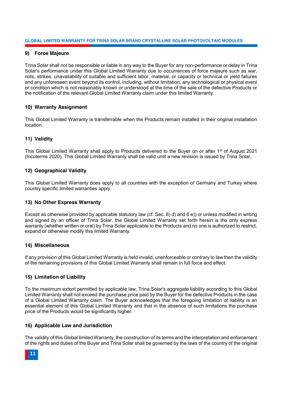### **9) Force Majeure**

Trina Solar shall not be responsible or liable in any way to the Buyer for any non-performance or delay in Trina Solar's performance under this Global Limited Warranty due to occurrences of force majeure such as war, riots, strikes, unavailability of suitable and sufficient labor, material, or capacity or technical or yield failures and any unforeseen event beyond its control, including, without limitation, any technological or physical event or condition which is not reasonably known or understood at the time of the sale of the defective Products or the notification of the relevant Global Limited Warranty claim under this limited Warranty.

### **10) Warranty Assignment**

This Global Limited Warranty is transferrable when the Products remain installed in their original installation location.

### **11) Validity**

This Global Limited Warranty shall apply to Products delivered to the Buyer on or after 1<sup>st</sup> of August 2021 (Incoterms 2020). This Global Limited Warranty shall be valid until a new revision is issued by Trina Solar.

### **12) Geographical Validity**

This Global Limited Warranty does apply to all countries with the exception of Germany and Turkey where country specific limited warranties apply.

### **13) No Other Express Warranty**

Except as otherwise provided by applicable statutory law (cf. Sec. 6) d) and 6 e)) or unless modified in writing and signed by an officer of Trina Solar, the Global Limited Warranty set forth herein is the only express warranty (whether written or oral) by Trina Solar applicable to the Products and no one is authorized to restrict, expand or otherwise modify this limited Warranty.

### **14) Miscellaneous**

If any provision of this Global Limited Warranty is held invalid, unenforceable or contrary to law then the validity of the remaining provisions of this Global Limited Warranty shall remain in full force and effect.

### **15) Limitation of Liability**

To the maximum extent permitted by applicable law, Trina Solar's aggregate liability according to this Global Limited Warranty shall not exceed the purchase price paid by the Buyer for the defective Products in the case of a Global Limited Warranty claim. The Buyer acknowledges that the foregoing limitation of liability is an essential element of this Global Limited Warranty and that in the absence of such limitations the purchase price of the Products would be significantly higher.

### **16) Applicable Law and Jurisdiction**

The validity of this Global limited Warranty, the construction of its terms and the interpretation and enforcement of the rights and duties of the Buyer and Trina Solar shall be governed by the laws of the country of the original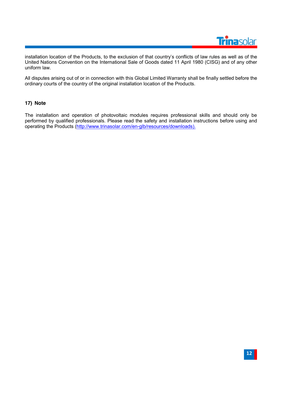

installation location of the Products, to the exclusion of that country's conflicts of law rules as well as of the United Nations Convention on the International Sale of Goods dated 11 April 1980 (CISG) and of any other uniform law.

All disputes arising out of or in connection with this Global Limited Warranty shall be finally settled before the ordinary courts of the country of the original installation location of the Products.

### **17) Note**

The installation and operation of photovoltaic modules requires professional skills and should only be performed by qualified professionals. Please read the safety and installation instructions before using and operating the Products (http://www.trinasolar.com/en-glb/resources/downloads).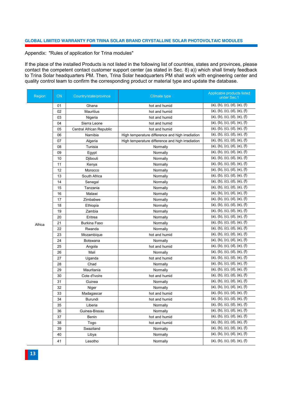#### Appendix: "Rules of application for Trina modules"

If the place of the installed Products is not listed in the following list of countries, states and provinces, please contact the competent contact customer support center (as stated in Sec. 8) a)) which shall timely feedback to Trina Solar headquarters PM. Then, Trina Solar headquarters PM shall work with engineering center and quality control team to confirm the corresponding product or material type and update the database.

| Region | <b>CN</b> | Country/state/province          | Climate type                                     | Applicable products listed<br>under Sec.1 |
|--------|-----------|---------------------------------|--------------------------------------------------|-------------------------------------------|
|        | 01        | Ghana                           | hot and humid                                    | (a), (b), (c), (d), (e), (f)              |
|        | 02        | <b>Mauritius</b>                | hot and humid                                    | (a), (b), (c), (d), (e), (f)              |
|        | 03        | Nigeria                         | hot and humid                                    | (a), (b), (c), (d), (e), (f)              |
|        | 04        | Sierra Leone                    | hot and humid                                    | (a), (b), (c), (d), (e), (f)              |
|        | 05        | <b>Central African Republic</b> | hot and humid                                    | (a), (b), (c), (d), (e), (f)              |
|        | 06        | Namibia                         | High temperature difference and high irradiation | (a), (b), (c), (d), (e), (f)              |
|        | 07        | Algeria                         | High temperature difference and high irradiation | (a), (b), (c), (d), (e), (f)              |
|        | 08        | Tunisia                         | Normally                                         | (a), (b), (c), (d), (e), (f)              |
|        | 09        | Egypt                           | Normally                                         | (a), (b), (c), (d), (e), (f)              |
|        | 10        | Djibouti                        | Normally                                         | (a), (b), (c), (d), (e), (f)              |
|        | 11        | Kenya                           | Normally                                         | (a), (b), (c), (d), (e), (f)              |
|        | 12        | Morocco                         | Normally                                         | (a), (b), (c), (d), (e), (f)              |
|        | 13        | South Africa                    | Normally                                         | (a), (b), (c), (d), (e), (f)              |
|        | 14        | Senegal                         | Normally                                         | (a), (b), (c), (d), (e), (f)              |
|        | 15        | Tanzania                        | Normally                                         | (a), (b), (c), (d), (e), (f)              |
|        | 16        | Malawi                          | Normally                                         | (a), (b), (c), (d), (e), (f)              |
|        | 17        | Zimbabwe                        | Normally                                         | (a), (b), (c), (d), (e), (f)              |
|        | 18        | Ethiopia                        | Normally                                         | (a), (b), (c), (d), (e), (f)              |
|        | 19        | Zambia                          | Normally                                         | (a), (b), (c), (d), (e), (f)              |
|        | 20        | Eritrea                         | Normally                                         | (a), (b), (c), (d), (e), (f)              |
| Africa | 21        | <b>Burkina Faso</b>             | Normally                                         | (a), (b), (c), (d), (e), (f)              |
|        | 22        | Rwanda                          | Normally                                         | (a), (b), (c), (d), (e), (f)              |
|        | 23        | Mozambique                      | hot and humid                                    | (a), (b), (c), (d), (e), (f)              |
|        | 24        | Botswana                        | Normally                                         | (a), (b), (c), (d), (e), (f)              |
|        | 25        | Angola                          | hot and humid                                    | (a), (b), (c), (d), (e), (f)              |
|        | 26        | Mali                            | Normally                                         | (a), (b), (c), (d), (e), (f)              |
|        | 27        | Uganda                          | hot and humid                                    | (a), (b), (c), (d), (e), (f)              |
|        | 28        | Chad                            | Normally                                         | (a), (b), (c), (d), (e), (f)              |
|        | 29        | Mauritania                      | Normally                                         | (a), (b), (c), (d), (e), (f)              |
|        | 30        | Cote d'Ivoire                   | hot and humid                                    | (a), (b), (c), (d), (e), (f)              |
|        | 31        | Guinea                          | Normally                                         | (a), (b), (c), (d), (e), (f)              |
|        | 32        | Niger                           | Normally                                         | (a), (b), (c), (d), (e), (f)              |
|        | 33        | Madagascar                      | hot and humid                                    | (a), (b), (c), (d), (e), (f)              |
|        | 34        | Burundi                         | hot and humid                                    | (a), (b), (c), (d), (e), (f)              |
|        | 35        | Liberia                         | Normally                                         | (a), (b), (c), (d), (e), (f)              |
|        | 36        | Guinea-Bissau                   | Normally                                         | (a), (b), (c), (d), (e), (f)              |
|        | 37        | Benin                           | hot and humid                                    | (a), (b), (c), (d), (e), (f)              |
|        | 38        | Togo                            | hot and humid                                    | (a), (b), (c), (d), (e), (f)              |
|        | 39        | Swaziland                       | Normally                                         | (a), (b), (c), (d), (e), (f)              |
|        | 40        | Libya                           | Normally                                         | (a), (b), (c), (d), (e), (f)              |
|        | 41        | Lesotho                         | Normally                                         | (a), (b), (c), (d), (e), (f)              |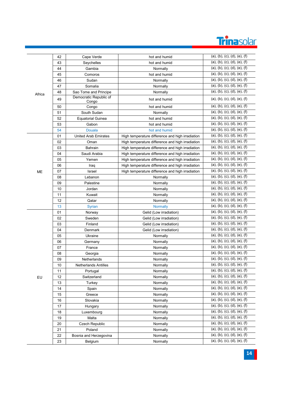

|        | 42 | Cape Verde                      | hot and humid                                    | (a), (b), (c), (d), (e), (f) |
|--------|----|---------------------------------|--------------------------------------------------|------------------------------|
|        | 43 | Seychelles                      | hot and humid                                    | (a), (b), (c), (d), (e), (f) |
|        | 44 | Gambia                          | Normally                                         | (a), (b), (c), (d), (e), (f) |
|        | 45 | Comoros                         | hot and humid                                    | (a), (b), (c), (d), (e), (f) |
|        | 46 | Sudan                           | Normally                                         | (a), (b), (c), (d), (e), (f) |
|        | 47 | Somalia                         | Normally                                         | (a), (b), (c), (d), (e), (f) |
| Africa | 48 | Sao Tome and Principe           | Normally                                         | (a), (b), (c), (d), (e), (f) |
|        | 49 | Democratic Republic of<br>Congo | hot and humid                                    | (a), (b), (c), (d), (e), (f) |
|        | 50 | Congo                           | hot and humid                                    | (a), (b), (c), (d), (e), (f) |
|        | 51 | South Sudan                     | Normally                                         | (a), (b), (c), (d), (e), (f) |
|        | 52 | <b>Equatorial Guinea</b>        | hot and humid                                    | (a), (b), (c), (d), (e), (f) |
|        | 53 | Gabon                           | hot and humid                                    | (a), (b), (c), (d), (e), (f) |
|        | 54 | <b>Douala</b>                   | hot and humid                                    | (a), (b), (c), (d), (e), (f) |
|        | 01 | <b>United Arab Emirates</b>     | High temperature difference and high irradiation | (a), (b), (c), (d), (e), (f) |
|        | 02 | Oman                            | High temperature difference and high irradiation | (a), (b), (c), (d), (e), (f) |
|        | 03 | Bahrain                         | High temperature difference and high irradiation | (a), (b), (c), (d), (e), (f) |
|        | 04 | Saudi Arabia                    | High temperature difference and high irradiation | (a), (b), (c), (d), (e), (f) |
|        | 05 | Yemen                           | High temperature difference and high irradiation | (a), (b), (c), (d), (e), (f) |
|        | 06 | Iraq                            | High temperature difference and high irradiation | (a), (b), (c), (d), (e), (f) |
| МE     | 07 | Israel                          | High temperature difference and high irradiation | (a), (b), (c), (d), (e), (f) |
|        | 08 | Lebanon                         | Normally                                         | (a), (b), (c), (d), (e), (f) |
|        | 09 | Palestine                       | Normally                                         | (a), (b), (c), (d), (e), (f) |
|        | 10 | Jordan                          | Normally                                         | (a), (b), (c), (d), (e), (f) |
|        | 11 | Kuwait                          | Normally                                         | (a), (b), (c), (d), (e), (f) |
|        | 12 | Qatar                           | Normally                                         | (a), (b), (c), (d), (e), (f) |
|        | 13 | <b>Syrian</b>                   | <b>Normally</b>                                  | (a), (b), (c), (d), (e), (f) |
|        | 01 | Norway                          | Gelid (Low irradiation)                          | (a), (b), (c), (d), (e), (f) |
|        | 02 | Sweden                          | Gelid (Low irradiation)                          | (a), (b), (c), (d), (e), (f) |
|        | 03 | Finland                         | Gelid (Low irradiation)                          | (a), (b), (c), (d), (e), (f) |
|        | 04 | Denmark                         | Gelid (Low irradiation)                          | (a), (b), (c), (d), (e), (f) |
|        | 05 | Ukraine                         | Normally                                         | (a), (b), (c), (d), (e), (f) |
|        | 06 | Germany                         | Normally                                         | (a), (b), (c), (d), (e), (f) |
|        | 07 | France                          | Normally                                         | (a), (b), (c), (d), (e), (f) |
|        | 08 | Georgia                         | Normally                                         | (a), (b), (c), (d), (e), (f) |
|        | 09 | Netherlands                     | Normally                                         | (a), (b), (c), (d), (e), (f) |
|        | 10 | Netherlands Antilles            | Normally                                         | (a), (b), (c), (d), (e), (f) |
|        | 11 | Portugal                        | Normally                                         | (a), (b), (c), (d), (e), (f) |
| EU     | 12 | Switzerland                     | Normally                                         | (a), (b), (c), (d), (e), (f) |
|        | 13 | Turkey                          | Normally                                         | (a), (b), (c), (d), (e), (f) |
|        | 14 | Spain                           | Normally                                         | (a), (b), (c), (d), (e), (f) |
|        | 15 | Greece                          | Normally                                         | (a), (b), (c), (d), (e), (f) |
|        | 16 | Slovakia                        | Normally                                         | (a), (b), (c), (d), (e), (f) |
|        | 17 | Hungary                         | Normally                                         | (a), (b), (c), (d), (e), (f) |
|        | 18 | Luxembourg                      | Normally                                         | (a), (b), (c), (d), (e), (f) |
|        | 19 | Malta                           | Normally                                         | (a), (b), (c), (d), (e), (f) |
|        | 20 | Czech Republic                  | Normally                                         | (a), (b), (c), (d), (e), (f) |
|        | 21 | Poland                          | Normally                                         | (a), (b), (c), (d), (e), (f) |
|        | 22 | Bosnia and Herzegovina          | Normally                                         | (a), (b), (c), (d), (e), (f) |
|        | 23 | Belgium                         | Normally                                         | (a), (b), (c), (d), (e), (f) |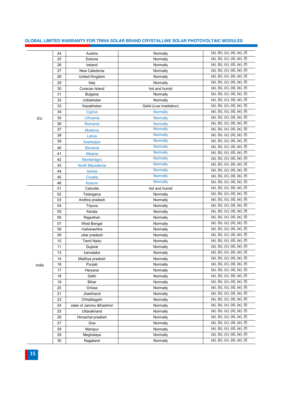|       | 24 | Austria                  | Normally                | (a), (b), (c), (d), (e), (f) |
|-------|----|--------------------------|-------------------------|------------------------------|
|       | 25 | Estonia                  | Normally                | (a), (b), (c), (d), (e), (f) |
|       | 26 | Ireland                  | Normally                | (a), (b), (c), (d), (e), (f) |
|       | 27 | New Caledonia            | Normally                | (a), (b), (c), (d), (e), (f) |
|       | 28 | United Kingdom           | Normally                | (a), (b), (c), (d), (e), (f) |
|       | 29 | Italy                    | Normally                | (a), (b), (c), (d), (e), (f) |
|       | 30 | Curacao Island           | hot and humid           | (a), (b), (c), (d), (e), (f) |
|       | 31 | <b>Bulgaria</b>          | Normally                | (a), (b), (c), (d), (e), (f) |
|       | 32 | Uzbekistan               | Normally                | (a), (b), (c), (d), (e), (f) |
|       | 33 | Kazakhstan               | Gelid (Low irradiation) | (a), (b), (c), (d), (e), (f) |
|       | 34 | <b>Cyprus</b>            | <b>Normally</b>         | (a), (b), (c), (d), (e), (f) |
| EU    | 35 | Lithuania                | <b>Normally</b>         | (a), (b), (c), (d), (e), (f) |
|       | 36 | Romania                  | Normally                | (a), (b), (c), (d), (e), (f) |
|       | 37 | Moldova                  | <b>Normally</b>         | (a), (b), (c), (d), (e), (f) |
|       | 38 | Latvia                   | <b>Normally</b>         | (a), (b), (c), (d), (e), (f) |
|       | 39 | Azerbaijan               | <b>Normally</b>         | (a), (b), (c), (d), (e), (f) |
|       | 40 | Slovenia                 | <b>Normally</b>         | (a), (b), (c), (d), (e), (f) |
|       | 41 | Albania                  | <b>Normally</b>         | (a), (b), (c), (d), (e), (f) |
|       | 42 | Montenegro               | <b>Normally</b>         | (a), (b), (c), (d), (e), (f) |
|       | 43 | North Macedonia          | <b>Normally</b>         | (a), (b), (c), (d), (e), (f) |
|       | 44 | Serbia                   | <b>Normally</b>         | (a), (b), (c), (d), (e), (f) |
|       | 45 | Croatia                  | <b>Normally</b>         | (a), (b), (c), (d), (e), (f) |
|       | 46 | Kosovo                   | <b>Normally</b>         | (a), (b), (c), (d), (e), (f) |
|       | 01 | Calcutta                 | hot and humid           | (a), (b), (c), (d), (e), (f) |
|       | 02 | Telangana                | Normally                | (a), (b), (c), (d), (e), (f) |
|       | 03 | Andhra pradesh           | Normally                | (a), (b), (c), (d), (e), (f) |
|       | 04 | Tripura                  | Normally                | (a), (b), (c), (d), (e), (f) |
|       | 05 | Kerala                   | Normally                | (a), (b), (c), (d), (e), (f) |
|       | 06 | Rajasthan                | Normally                | (a), (b), (c), (d), (e), (f) |
|       | 07 | West Bengal              | Normally                | (a), (b), (c), (d), (e), (f) |
|       | 08 | maharashtra              | Normally                | (a), (b), (c), (d), (e), (f) |
|       | 09 | uttar pradesh            | Normally                | (a), (b), (c), (d), (e), (f) |
|       | 10 | <b>Tamil Nadu</b>        | Normally                | (a), (b), (c), (d), (e), (f) |
|       | 11 | Gujarat                  | Normally                | (a), (b), (c), (d), (e), (f) |
|       | 13 | karnataka                | Normally                | (a), (b), (c), (d), (e), (f) |
|       | 14 | Madhya pradesh           | Normally                | (a), (b), (c), (d), (e), (f) |
| India | 16 | Punjab                   | Normally                | (a), (b), (c), (d), (e), (f) |
|       | 17 | Haryana                  | Normally                | (a), (b), (c), (d), (e), (f) |
|       | 18 | Delhi                    | Normally                | (a), (b), (c), (d), (e), (f) |
|       | 19 | <b>Bihar</b>             | Normally                | (a), (b), (c), (d), (e), (f) |
|       | 20 | Orissa                   | Normally                | (a), (b), (c), (d), (e), (f) |
|       | 21 | Jharkhand                | Normally                | (a), (b), (c), (d), (e), (f) |
|       | 23 | Chhattisgarh             | Normally                | (a), (b), (c), (d), (e), (f) |
|       | 24 | state of Jammu & Kashmir | Normally                | (a), (b), (c), (d), (e), (f) |
|       | 25 | Uttarakhand              | Normally                | (a), (b), (c), (d), (e), (f) |
|       | 26 | Himachal pradesh         | Normally                | (a), (b), (c), (d), (e), (f) |
|       | 27 | Goa                      | Normally                | (a), (b), (c), (d), (e), (f) |
|       | 28 | Manipur                  | Normally                | (a), (b), (c), (d), (e), (f) |
|       | 29 | Meghalaya                | Normally                | (a), (b), (c), (d), (e), (f) |
|       | 30 | Nagaland                 | Normally                | (a), (b), (c), (d), (e), (f) |
|       |    |                          |                         |                              |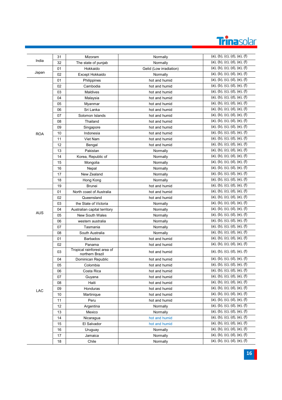

|            | 31 | Mizoram                                        |                                                                                                                                                                                                                                                                                                                                                                                                                                                                                                                               | (a), (b), (c), (d), (e), (f) |
|------------|----|------------------------------------------------|-------------------------------------------------------------------------------------------------------------------------------------------------------------------------------------------------------------------------------------------------------------------------------------------------------------------------------------------------------------------------------------------------------------------------------------------------------------------------------------------------------------------------------|------------------------------|
| India      | 32 | The state of punjab                            |                                                                                                                                                                                                                                                                                                                                                                                                                                                                                                                               | (a), (b), (c), (d), (e), (f) |
|            | 01 | Hokkaido                                       | Normally<br>Normally<br>Gelid (Low irradiation)<br>Normally<br>hot and humid<br>hot and humid<br>hot and humid<br>hot and humid<br>hot and humid<br>hot and humid<br>hot and humid<br>hot and humid<br>hot and humid<br>hot and humid<br>hot and humid<br>hot and humid<br>Normally<br>Normally<br>Normally<br>Normally<br>Normally<br>Normally<br>hot and humid<br>hot and humid<br>hot and humid<br>Normally<br>Normally<br>Normally<br>Normally<br>Normally<br>Normally<br>hot and humid<br>hot and humid<br>hot and humid | (a), (b), (c), (d), (e), (f) |
| Japan      | 02 | Except Hokkaido                                |                                                                                                                                                                                                                                                                                                                                                                                                                                                                                                                               | (a), (b), (c), (d), (e), (f) |
|            | 01 | Philippines                                    |                                                                                                                                                                                                                                                                                                                                                                                                                                                                                                                               | (a), (b), (c), (d), (e), (f) |
|            | 02 | Cambodia                                       |                                                                                                                                                                                                                                                                                                                                                                                                                                                                                                                               | (a), (b), (c), (d), (e), (f) |
|            | 03 | <b>Maldives</b>                                |                                                                                                                                                                                                                                                                                                                                                                                                                                                                                                                               | (a), (b), (c), (d), (e), (f) |
|            | 04 | Malaysia                                       |                                                                                                                                                                                                                                                                                                                                                                                                                                                                                                                               | (a), (b), (c), (d), (e), (f) |
|            | 05 | Myanmar                                        |                                                                                                                                                                                                                                                                                                                                                                                                                                                                                                                               | (a), (b), (c), (d), (e), (f) |
|            | 06 | Sri Lanka                                      |                                                                                                                                                                                                                                                                                                                                                                                                                                                                                                                               | (a), (b), (c), (d), (e), (f) |
|            | 07 | Solomon Islands                                |                                                                                                                                                                                                                                                                                                                                                                                                                                                                                                                               | (a), (b), (c), (d), (e), (f) |
|            | 08 | Thailand                                       |                                                                                                                                                                                                                                                                                                                                                                                                                                                                                                                               | (a), (b), (c), (d), (e), (f) |
|            | 09 | Singapore                                      |                                                                                                                                                                                                                                                                                                                                                                                                                                                                                                                               | (a), (b), (c), (d), (e), (f) |
| <b>ROA</b> | 10 | Indonesia                                      |                                                                                                                                                                                                                                                                                                                                                                                                                                                                                                                               | (a), (b), (c), (d), (e), (f) |
|            | 11 | Viet Nam                                       |                                                                                                                                                                                                                                                                                                                                                                                                                                                                                                                               | (a), (b), (c), (d), (e), (f) |
|            | 12 | Bengal                                         |                                                                                                                                                                                                                                                                                                                                                                                                                                                                                                                               | (a), (b), (c), (d), (e), (f) |
|            | 13 | Pakistan                                       |                                                                                                                                                                                                                                                                                                                                                                                                                                                                                                                               | (a), (b), (c), (d), (e), (f) |
|            | 14 | Korea, Republic of                             |                                                                                                                                                                                                                                                                                                                                                                                                                                                                                                                               | (a), (b), (c), (d), (e), (f) |
|            | 15 | Mongolia                                       |                                                                                                                                                                                                                                                                                                                                                                                                                                                                                                                               | (a), (b), (c), (d), (e), (f) |
|            | 16 | Nepal                                          |                                                                                                                                                                                                                                                                                                                                                                                                                                                                                                                               | (a), (b), (c), (d), (e), (f) |
|            | 17 | New Zealand                                    |                                                                                                                                                                                                                                                                                                                                                                                                                                                                                                                               | (a), (b), (c), (d), (e), (f) |
|            | 18 | Hong Kong                                      |                                                                                                                                                                                                                                                                                                                                                                                                                                                                                                                               | (a), (b), (c), (d), (e), (f) |
|            | 19 | <b>Brunei</b>                                  |                                                                                                                                                                                                                                                                                                                                                                                                                                                                                                                               | (a), (b), (c), (d), (e), (f) |
|            | 01 | North coast of Australia                       |                                                                                                                                                                                                                                                                                                                                                                                                                                                                                                                               | (a), (b), (c), (d), (e), (f) |
|            | 02 | Queensland                                     |                                                                                                                                                                                                                                                                                                                                                                                                                                                                                                                               | (a), (b), (c), (d), (e), (f) |
|            | 03 | the State of Victoria                          |                                                                                                                                                                                                                                                                                                                                                                                                                                                                                                                               | (a), (b), (c), (d), (e), (f) |
|            | 04 | Australian capital territory                   |                                                                                                                                                                                                                                                                                                                                                                                                                                                                                                                               | (a), (b), (c), (d), (e), (f) |
| AUS        | 05 | <b>New South Wales</b>                         |                                                                                                                                                                                                                                                                                                                                                                                                                                                                                                                               | (a), (b), (c), (d), (e), (f) |
|            | 06 | western australia                              |                                                                                                                                                                                                                                                                                                                                                                                                                                                                                                                               | (a), (b), (c), (d), (e), (f) |
|            | 07 | Tasmania                                       |                                                                                                                                                                                                                                                                                                                                                                                                                                                                                                                               | (a), (b), (c), (d), (e), (f) |
|            | 08 | South Australia                                |                                                                                                                                                                                                                                                                                                                                                                                                                                                                                                                               | (a), (b), (c), (d), (e), (f) |
|            | 01 | <b>Barbados</b>                                |                                                                                                                                                                                                                                                                                                                                                                                                                                                                                                                               | (a), (b), (c), (d), (e), (f) |
|            | 02 | Panama                                         |                                                                                                                                                                                                                                                                                                                                                                                                                                                                                                                               | (a), (b), (c), (d), (e), (f) |
|            | 03 | Tropical rainforest area of<br>northern Brazil |                                                                                                                                                                                                                                                                                                                                                                                                                                                                                                                               | (a), (b), (c), (d), (e), (f) |
|            | 04 | Dominican Republic                             | hot and humid                                                                                                                                                                                                                                                                                                                                                                                                                                                                                                                 | (a), (b), (c), (d), (e), (f) |
|            | 05 | Colombia                                       | hot and humid                                                                                                                                                                                                                                                                                                                                                                                                                                                                                                                 | (a), (b), (c), (d), (e), (f) |
|            | 06 | Costa Rica                                     | hot and humid                                                                                                                                                                                                                                                                                                                                                                                                                                                                                                                 | (a), (b), (c), (d), (e), (f) |
|            | 07 | Guyana                                         | hot and humid                                                                                                                                                                                                                                                                                                                                                                                                                                                                                                                 | (a), (b), (c), (d), (e), (f) |
|            | 08 | Haiti                                          | hot and humid                                                                                                                                                                                                                                                                                                                                                                                                                                                                                                                 | (a), (b), (c), (d), (e), (f) |
|            | 09 | Honduras                                       | hot and humid                                                                                                                                                                                                                                                                                                                                                                                                                                                                                                                 | (a), (b), (c), (d), (e), (f) |
| LAC        | 10 | Martinique                                     | hot and humid                                                                                                                                                                                                                                                                                                                                                                                                                                                                                                                 | (a), (b), (c), (d), (e), (f) |
|            | 11 | Peru                                           | hot and humid                                                                                                                                                                                                                                                                                                                                                                                                                                                                                                                 | (a), (b), (c), (d), (e), (f) |
|            | 12 | Argentina                                      | Normally                                                                                                                                                                                                                                                                                                                                                                                                                                                                                                                      | (a), (b), (c), (d), (e), (f) |
|            | 13 | Mexico                                         | Normally                                                                                                                                                                                                                                                                                                                                                                                                                                                                                                                      | (a), (b), (c), (d), (e), (f) |
|            | 14 | Nicaragua                                      | hot and humid                                                                                                                                                                                                                                                                                                                                                                                                                                                                                                                 | (a), (b), (c), (d), (e), (f) |
|            | 15 | El Salvador                                    | hot and humid                                                                                                                                                                                                                                                                                                                                                                                                                                                                                                                 | (a), (b), (c), (d), (e), (f) |
|            | 16 | Uruguay                                        | Normally                                                                                                                                                                                                                                                                                                                                                                                                                                                                                                                      | (a), (b), (c), (d), (e), (f) |
|            | 17 | Jamaica                                        | Normally                                                                                                                                                                                                                                                                                                                                                                                                                                                                                                                      | (a), (b), (c), (d), (e), (f) |
|            | 18 | Chile                                          | Normally                                                                                                                                                                                                                                                                                                                                                                                                                                                                                                                      | (a), (b), (c), (d), (e), (f) |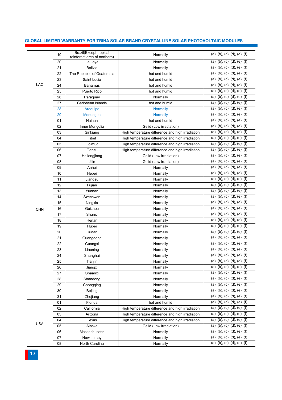|            | 19 | <b>Brazil</b> (Except tropical<br>rainforest area of northern) | Normally                                                                                                                                                                                                                                                                                                                                                                                                                                                                                                                                                                                                                                                                                   | (a), (b), (c), (d), (e), (f) |
|------------|----|----------------------------------------------------------------|--------------------------------------------------------------------------------------------------------------------------------------------------------------------------------------------------------------------------------------------------------------------------------------------------------------------------------------------------------------------------------------------------------------------------------------------------------------------------------------------------------------------------------------------------------------------------------------------------------------------------------------------------------------------------------------------|------------------------------|
|            | 20 | La Joya                                                        | Normally                                                                                                                                                                                                                                                                                                                                                                                                                                                                                                                                                                                                                                                                                   | (a), (b), (c), (d), (e), (f) |
|            | 21 | <b>Bolivia</b>                                                 | Normally                                                                                                                                                                                                                                                                                                                                                                                                                                                                                                                                                                                                                                                                                   | (a), (b), (c), (d), (e), (f) |
|            | 22 | The Republic of Guatemala                                      | hot and humid                                                                                                                                                                                                                                                                                                                                                                                                                                                                                                                                                                                                                                                                              | (a), (b), (c), (d), (e), (f) |
|            | 23 | Saint Lucia                                                    | hot and humid                                                                                                                                                                                                                                                                                                                                                                                                                                                                                                                                                                                                                                                                              | (a), (b), (c), (d), (e), (f) |
| <b>LAC</b> | 24 | <b>Bahamas</b>                                                 | hot and humid                                                                                                                                                                                                                                                                                                                                                                                                                                                                                                                                                                                                                                                                              | (a), (b), (c), (d), (e), (f) |
|            | 25 | Puerto Rico                                                    | hot and humid                                                                                                                                                                                                                                                                                                                                                                                                                                                                                                                                                                                                                                                                              | (a), (b), (c), (d), (e), (f) |
|            | 26 | Paraguay                                                       | Normally                                                                                                                                                                                                                                                                                                                                                                                                                                                                                                                                                                                                                                                                                   | (a), (b), (c), (d), (e), (f) |
|            | 27 | Caribbean Islands                                              | hot and humid                                                                                                                                                                                                                                                                                                                                                                                                                                                                                                                                                                                                                                                                              | (a), (b), (c), (d), (e), (f) |
|            | 28 | Arequipa                                                       | <b>Normally</b>                                                                                                                                                                                                                                                                                                                                                                                                                                                                                                                                                                                                                                                                            | (a), (b), (c), (d), (e), (f) |
|            | 29 | Moquegua                                                       | <b>Normally</b>                                                                                                                                                                                                                                                                                                                                                                                                                                                                                                                                                                                                                                                                            | (a), (b), (c), (d), (e), (f) |
|            | 01 | Hainan                                                         | hot and humid                                                                                                                                                                                                                                                                                                                                                                                                                                                                                                                                                                                                                                                                              | (a), (b), (c), (d), (e), (f) |
|            | 02 | Inner Mongolia                                                 | Gelid (Low irradiation)                                                                                                                                                                                                                                                                                                                                                                                                                                                                                                                                                                                                                                                                    | (a), (b), (c), (d), (e), (f) |
|            | 03 | Sinkiang                                                       | High temperature difference and high irradiation                                                                                                                                                                                                                                                                                                                                                                                                                                                                                                                                                                                                                                           | (a), (b), (c), (d), (e), (f) |
|            | 04 | Tibet                                                          | High temperature difference and high irradiation                                                                                                                                                                                                                                                                                                                                                                                                                                                                                                                                                                                                                                           | (a), (b), (c), (d), (e), (f) |
|            | 05 | Golmud                                                         |                                                                                                                                                                                                                                                                                                                                                                                                                                                                                                                                                                                                                                                                                            | (a), (b), (c), (d), (e), (f) |
|            | 06 | Gansu                                                          |                                                                                                                                                                                                                                                                                                                                                                                                                                                                                                                                                                                                                                                                                            | (a), (b), (c), (d), (e), (f) |
|            | 07 | Heilongjiang                                                   |                                                                                                                                                                                                                                                                                                                                                                                                                                                                                                                                                                                                                                                                                            | (a), (b), (c), (d), (e), (f) |
|            | 08 | Jilin                                                          |                                                                                                                                                                                                                                                                                                                                                                                                                                                                                                                                                                                                                                                                                            | (a), (b), (c), (d), (e), (f) |
|            | 09 | Anhui                                                          |                                                                                                                                                                                                                                                                                                                                                                                                                                                                                                                                                                                                                                                                                            | (a), (b), (c), (d), (e), (f) |
|            | 10 | Hebei                                                          |                                                                                                                                                                                                                                                                                                                                                                                                                                                                                                                                                                                                                                                                                            | (a), (b), (c), (d), (e), (f) |
|            | 11 | Jiangsu                                                        |                                                                                                                                                                                                                                                                                                                                                                                                                                                                                                                                                                                                                                                                                            | (a), (b), (c), (d), (e), (f) |
|            | 12 | Fujian                                                         |                                                                                                                                                                                                                                                                                                                                                                                                                                                                                                                                                                                                                                                                                            | (a), (b), (c), (d), (e), (f) |
|            | 13 | Yunnan                                                         |                                                                                                                                                                                                                                                                                                                                                                                                                                                                                                                                                                                                                                                                                            | (a), (b), (c), (d), (e), (f) |
|            | 14 | Szechwan                                                       |                                                                                                                                                                                                                                                                                                                                                                                                                                                                                                                                                                                                                                                                                            | (a), (b), (c), (d), (e), (f) |
|            | 15 | Ningxia                                                        |                                                                                                                                                                                                                                                                                                                                                                                                                                                                                                                                                                                                                                                                                            | (a), (b), (c), (d), (e), (f) |
| <b>CHN</b> | 16 | Guizhou                                                        |                                                                                                                                                                                                                                                                                                                                                                                                                                                                                                                                                                                                                                                                                            | (a), (b), (c), (d), (e), (f) |
|            | 17 | Shanxi                                                         |                                                                                                                                                                                                                                                                                                                                                                                                                                                                                                                                                                                                                                                                                            | (a), (b), (c), (d), (e), (f) |
|            | 18 | Henan                                                          |                                                                                                                                                                                                                                                                                                                                                                                                                                                                                                                                                                                                                                                                                            | (a), (b), (c), (d), (e), (f) |
|            | 19 | Hubei                                                          |                                                                                                                                                                                                                                                                                                                                                                                                                                                                                                                                                                                                                                                                                            | (a), (b), (c), (d), (e), (f) |
|            | 20 | Hunan                                                          |                                                                                                                                                                                                                                                                                                                                                                                                                                                                                                                                                                                                                                                                                            | (a), (b), (c), (d), (e), (f) |
|            | 21 | Guangdong                                                      |                                                                                                                                                                                                                                                                                                                                                                                                                                                                                                                                                                                                                                                                                            | (a), (b), (c), (d), (e), (f) |
|            | 22 | Guangxi                                                        | High temperature difference and high irradiation<br>High temperature difference and high irradiation<br>Gelid (Low irradiation)<br>Gelid (Low irradiation)<br>Normally<br>Normally<br>Normally<br>Normally<br>Normally<br>Normally<br>Normally<br>Normally<br>Normally<br>Normally<br>Normally<br>Normally<br>Normally<br>Normally<br>Normally<br>Normally<br>Normally<br>Normally<br>Normally<br>Normally<br>Normally<br>Normally<br>Normally<br>hot and humid<br>High temperature difference and high irradiation<br>High temperature difference and high irradiation<br>High temperature difference and high irradiation<br>Gelid (Low irradiation)<br>Normally<br>Normally<br>Normally | (a), (b), (c), (d), (e), (f) |
|            | 23 | Liaoning                                                       |                                                                                                                                                                                                                                                                                                                                                                                                                                                                                                                                                                                                                                                                                            | (a), (b), (c), (d), (e), (f) |
|            | 24 | Shanghai                                                       |                                                                                                                                                                                                                                                                                                                                                                                                                                                                                                                                                                                                                                                                                            | (a), (b), (c), (d), (e), (f) |
|            | 25 | Tianjin                                                        |                                                                                                                                                                                                                                                                                                                                                                                                                                                                                                                                                                                                                                                                                            | (a), (b), (c), (d), (e), (f) |
|            | 26 | Jiangxi                                                        |                                                                                                                                                                                                                                                                                                                                                                                                                                                                                                                                                                                                                                                                                            | (a), (b), (c), (d), (e), (f) |
|            | 27 | Shaanxi                                                        |                                                                                                                                                                                                                                                                                                                                                                                                                                                                                                                                                                                                                                                                                            | (a), (b), (c), (d), (e), (f) |
|            | 28 | Shandong                                                       |                                                                                                                                                                                                                                                                                                                                                                                                                                                                                                                                                                                                                                                                                            | (a), (b), (c), (d), (e), (f) |
|            | 29 | Chongqing                                                      |                                                                                                                                                                                                                                                                                                                                                                                                                                                                                                                                                                                                                                                                                            | (a), (b), (c), (d), (e), (f) |
|            | 30 | Beijing                                                        |                                                                                                                                                                                                                                                                                                                                                                                                                                                                                                                                                                                                                                                                                            | (a), (b), (c), (d), (e), (f) |
|            | 31 | Zhejiang                                                       |                                                                                                                                                                                                                                                                                                                                                                                                                                                                                                                                                                                                                                                                                            | (a), (b), (c), (d), (e), (f) |
|            | 01 | Florida                                                        |                                                                                                                                                                                                                                                                                                                                                                                                                                                                                                                                                                                                                                                                                            | (a), (b), (c), (d), (e), (f) |
|            | 02 | California                                                     |                                                                                                                                                                                                                                                                                                                                                                                                                                                                                                                                                                                                                                                                                            | (a), (b), (c), (d), (e), (f) |
|            | 03 | Arizona                                                        |                                                                                                                                                                                                                                                                                                                                                                                                                                                                                                                                                                                                                                                                                            | (a), (b), (c), (d), (e), (f) |
|            | 04 | Texas                                                          |                                                                                                                                                                                                                                                                                                                                                                                                                                                                                                                                                                                                                                                                                            | (a), (b), (c), (d), (e), (f) |
| <b>USA</b> | 05 | Alaska                                                         |                                                                                                                                                                                                                                                                                                                                                                                                                                                                                                                                                                                                                                                                                            | (a), (b), (c), (d), (e), (f) |
|            | 06 | Massachusetts                                                  |                                                                                                                                                                                                                                                                                                                                                                                                                                                                                                                                                                                                                                                                                            | (a), (b), (c), (d), (e), (f) |
|            | 07 | New Jersey                                                     |                                                                                                                                                                                                                                                                                                                                                                                                                                                                                                                                                                                                                                                                                            | (a), (b), (c), (d), (e), (f) |
|            | 08 | North Carolina                                                 |                                                                                                                                                                                                                                                                                                                                                                                                                                                                                                                                                                                                                                                                                            | (a), (b), (c), (d), (e), (f) |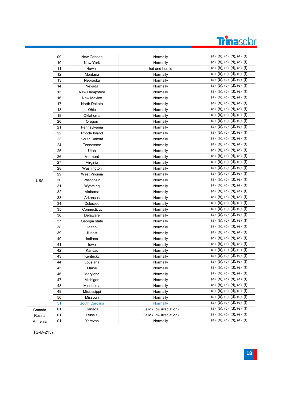

|            | 09 | New Canaan     | Normally                | (a), (b), (c), (d), (e), (f) |
|------------|----|----------------|-------------------------|------------------------------|
|            | 10 | New York       | Normally                | (a), (b), (c), (d), (e), (f) |
|            | 11 | Hawaii         | hot and humid           | (a), (b), (c), (d), (e), (f) |
|            | 12 | Montana        | Normally                | (a), (b), (c), (d), (e), (f) |
|            | 13 | Nebraska       | Normally                | (a), (b), (c), (d), (e), (f) |
|            | 14 | Nevada         | Normally                | (a), (b), (c), (d), (e), (f) |
|            | 15 | New Hampshire  | Normally                | (a), (b), (c), (d), (e), (f) |
|            | 16 | New Mexico     | Normally                | (a), (b), (c), (d), (e), (f) |
|            | 17 | North Dakota   | Normally                | (a), (b), (c), (d), (e), (f) |
|            | 18 | Ohio           | Normally                | (a), (b), (c), (d), (e), (f) |
|            | 19 | Oklahoma       | Normally                | (a), (b), (c), (d), (e), (f) |
|            | 20 | Oregon         | Normally                | (a), (b), (c), (d), (e), (f) |
|            | 21 | Pennsylvania   | Normally                | (a), (b), (c), (d), (e), (f) |
|            | 22 | Rhode Island   | Normally                | (a), (b), (c), (d), (e), (f) |
|            | 23 | South Dakota   | Normally                | (a), (b), (c), (d), (e), (f) |
|            | 24 | Tennessee      | Normally                | (a), (b), (c), (d), (e), (f) |
|            | 25 | Utah           | Normally                | (a), (b), (c), (d), (e), (f) |
|            | 26 | Vermont        | Normally                | (a), (b), (c), (d), (e), (f) |
|            | 27 | Virginia       | Normally                | (a), (b), (c), (d), (e), (f) |
|            | 28 | Washington     | Normally                | (a), (b), (c), (d), (e), (f) |
|            | 29 | West Virginia  | Normally                | (a), (b), (c), (d), (e), (f) |
| <b>USA</b> | 30 | Wisconsin      | Normally                | (a), (b), (c), (d), (e), (f) |
|            | 31 | Wyoming        | Normally                | (a), (b), (c), (d), (e), (f) |
|            | 32 | Alabama        | Normally                | (a), (b), (c), (d), (e), (f) |
|            | 33 | Arkansas       | Normally                | (a), (b), (c), (d), (e), (f) |
|            | 34 | Colorado       | Normally                | (a), (b), (c), (d), (e), (f) |
|            | 35 | Connecticut    | Normally                | (a), (b), (c), (d), (e), (f) |
|            | 36 | Delaware       | Normally                | (a), (b), (c), (d), (e), (f) |
|            | 37 | Georgia state  | Normally                | (a), (b), (c), (d), (e), (f) |
|            | 38 | Idaho          | Normally                | (a), (b), (c), (d), (e), (f) |
|            | 39 | Illinois       | Normally                | (a), (b), (c), (d), (e), (f) |
|            | 40 | Indiana        | Normally                | (a), (b), (c), (d), (e), (f) |
|            | 41 | lowa           | Normally                | (a), (b), (c), (d), (e), (f) |
|            | 42 | Kansas         | Normally                | (a), (b), (c), (d), (e), (f) |
|            | 43 | Kentucky       | Normally                | (a), (b), (c), (d), (e), (f) |
|            | 44 | Lousiana       | Normally                | (a), (b), (c), (d), (e), (f) |
|            | 45 | Maine          | Normally                | (a), (b), (c), (d), (e), (f) |
|            | 46 | Maryland       | Normally                | (a), (b), (c), (d), (e), (f) |
|            | 47 | Michigan       | Normally                | (a), (b), (c), (d), (e), (f) |
|            | 48 | Minnesota      | Normally                | (a), (b), (c), (d), (e), (f) |
|            | 49 | Mississippi    | Normally                | (a), (b), (c), (d), (e), (f) |
|            | 50 | Missouri       | Normally                | (a), (b), (c), (d), (e), (f) |
|            | 51 | South Carolina | <b>Normally</b>         | (a), (b), (c), (d), (e), (f) |
| Canada     | 01 | Canada         | Gelid (Low irradiation) | (a), (b), (c), (d), (e), (f) |
| Russia     | 01 | Russia         | Gelid (Low irradiation) | (a), (b), (c), (d), (e), (f) |
| Armenia    | 01 | Yerevan        | Normally                | (a), (b), (c), (d), (e), (f) |
|            |    |                |                         |                              |

TS - M -2137